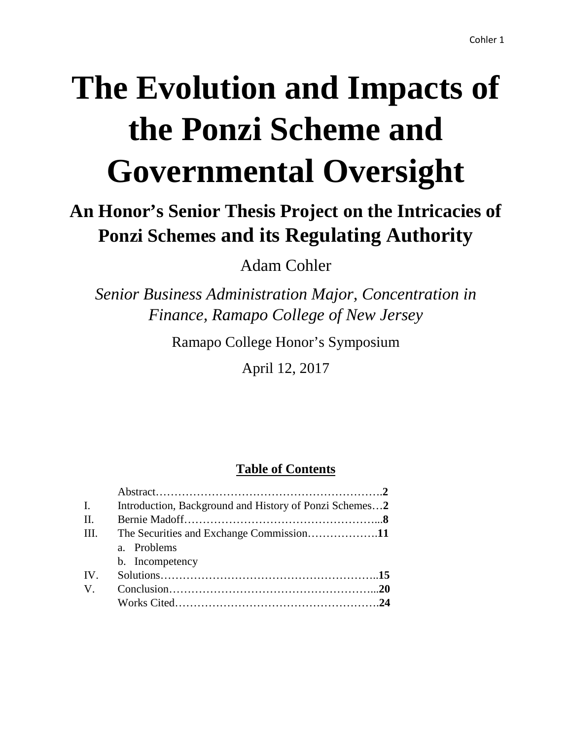# **The Evolution and Impacts of the Ponzi Scheme and Governmental Oversight**

## **An Honor's Senior Thesis Project on the Intricacies of Ponzi Schemes and its Regulating Authority**

Adam Cohler

*Senior Business Administration Major, Concentration in Finance, Ramapo College of New Jersey*

Ramapo College Honor's Symposium

April 12, 2017

### **Table of Contents**

| $\mathbf{I}$ . | Introduction, Background and History of Ponzi Schemes2 |  |
|----------------|--------------------------------------------------------|--|
| II.            |                                                        |  |
| III.           |                                                        |  |
|                | a. Problems                                            |  |
|                | b. Incompetency                                        |  |
| IV.            |                                                        |  |
| $V_{\cdot}$    |                                                        |  |
|                |                                                        |  |
|                |                                                        |  |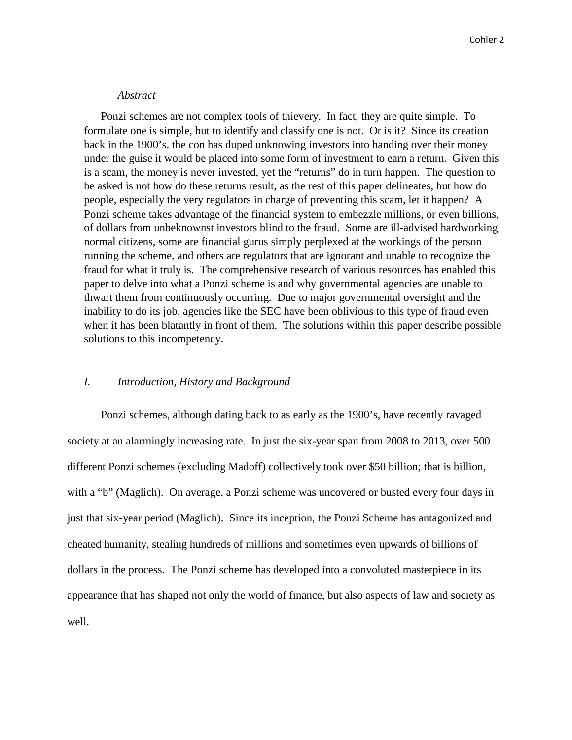#### *Abstract*

Ponzi schemes are not complex tools of thievery. In fact, they are quite simple. To formulate one is simple, but to identify and classify one is not. Or is it? Since its creation back in the 1900's, the con has duped unknowing investors into handing over their money under the guise it would be placed into some form of investment to earn a return. Given this is a scam, the money is never invested, yet the "returns" do in turn happen. The question to be asked is not how do these returns result, as the rest of this paper delineates, but how do people, especially the very regulators in charge of preventing this scam, let it happen? A Ponzi scheme takes advantage of the financial system to embezzle millions, or even billions, of dollars from unbeknownst investors blind to the fraud. Some are ill-advised hardworking normal citizens, some are financial gurus simply perplexed at the workings of the person running the scheme, and others are regulators that are ignorant and unable to recognize the fraud for what it truly is. The comprehensive research of various resources has enabled this paper to delve into what a Ponzi scheme is and why governmental agencies are unable to thwart them from continuously occurring. Due to major governmental oversight and the inability to do its job, agencies like the SEC have been oblivious to this type of fraud even when it has been blatantly in front of them. The solutions within this paper describe possible solutions to this incompetency.

#### *I. Introduction, History and Background*

Ponzi schemes, although dating back to as early as the 1900's, have recently ravaged society at an alarmingly increasing rate. In just the six-year span from 2008 to 2013, over 500 different Ponzi schemes (excluding Madoff) collectively took over \$50 billion; that is billion, with a "b" (Maglich). On average, a Ponzi scheme was uncovered or busted every four days in just that six-year period (Maglich). Since its inception, the Ponzi Scheme has antagonized and cheated humanity, stealing hundreds of millions and sometimes even upwards of billions of dollars in the process. The Ponzi scheme has developed into a convoluted masterpiece in its appearance that has shaped not only the world of finance, but also aspects of law and society as well.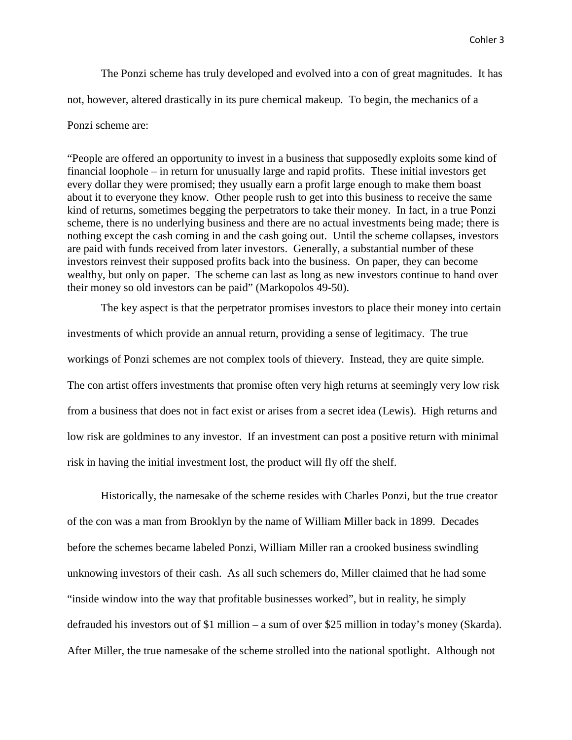The Ponzi scheme has truly developed and evolved into a con of great magnitudes. It has not, however, altered drastically in its pure chemical makeup. To begin, the mechanics of a Ponzi scheme are:

"People are offered an opportunity to invest in a business that supposedly exploits some kind of financial loophole – in return for unusually large and rapid profits. These initial investors get every dollar they were promised; they usually earn a profit large enough to make them boast about it to everyone they know. Other people rush to get into this business to receive the same kind of returns, sometimes begging the perpetrators to take their money. In fact, in a true Ponzi scheme, there is no underlying business and there are no actual investments being made; there is nothing except the cash coming in and the cash going out. Until the scheme collapses, investors are paid with funds received from later investors. Generally, a substantial number of these investors reinvest their supposed profits back into the business. On paper, they can become wealthy, but only on paper. The scheme can last as long as new investors continue to hand over their money so old investors can be paid" (Markopolos 49-50).

The key aspect is that the perpetrator promises investors to place their money into certain investments of which provide an annual return, providing a sense of legitimacy. The true workings of Ponzi schemes are not complex tools of thievery. Instead, they are quite simple. The con artist offers investments that promise often very high returns at seemingly very low risk from a business that does not in fact exist or arises from a secret idea (Lewis). High returns and low risk are goldmines to any investor. If an investment can post a positive return with minimal risk in having the initial investment lost, the product will fly off the shelf.

Historically, the namesake of the scheme resides with Charles Ponzi, but the true creator of the con was a man from Brooklyn by the name of William Miller back in 1899. Decades before the schemes became labeled Ponzi, William Miller ran a crooked business swindling unknowing investors of their cash. As all such schemers do, Miller claimed that he had some "inside window into the way that profitable businesses worked", but in reality, he simply defrauded his investors out of \$1 million – a sum of over \$25 million in today's money (Skarda). After Miller, the true namesake of the scheme strolled into the national spotlight. Although not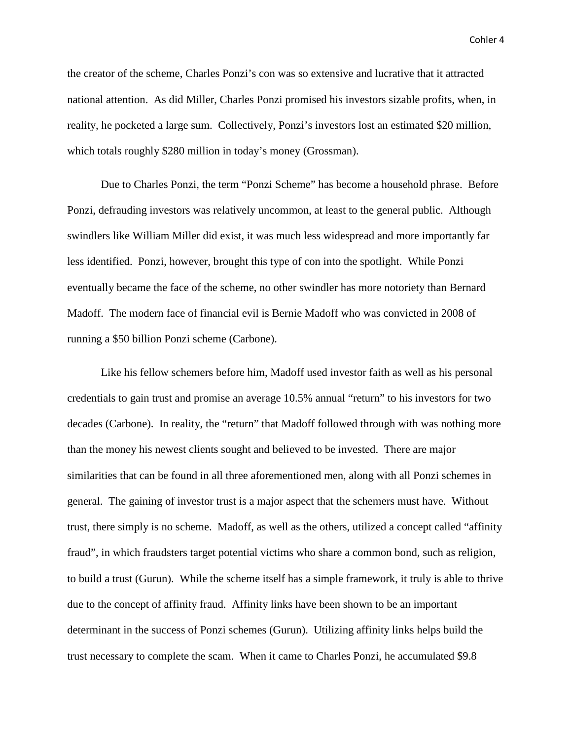the creator of the scheme, Charles Ponzi's con was so extensive and lucrative that it attracted national attention. As did Miller, Charles Ponzi promised his investors sizable profits, when, in reality, he pocketed a large sum. Collectively, Ponzi's investors lost an estimated \$20 million, which totals roughly \$280 million in today's money (Grossman).

Due to Charles Ponzi, the term "Ponzi Scheme" has become a household phrase. Before Ponzi, defrauding investors was relatively uncommon, at least to the general public. Although swindlers like William Miller did exist, it was much less widespread and more importantly far less identified. Ponzi, however, brought this type of con into the spotlight. While Ponzi eventually became the face of the scheme, no other swindler has more notoriety than Bernard Madoff. The modern face of financial evil is Bernie Madoff who was convicted in 2008 of running a \$50 billion Ponzi scheme (Carbone).

Like his fellow schemers before him, Madoff used investor faith as well as his personal credentials to gain trust and promise an average 10.5% annual "return" to his investors for two decades (Carbone). In reality, the "return" that Madoff followed through with was nothing more than the money his newest clients sought and believed to be invested. There are major similarities that can be found in all three aforementioned men, along with all Ponzi schemes in general. The gaining of investor trust is a major aspect that the schemers must have. Without trust, there simply is no scheme. Madoff, as well as the others, utilized a concept called "affinity fraud", in which fraudsters target potential victims who share a common bond, such as religion, to build a trust (Gurun). While the scheme itself has a simple framework, it truly is able to thrive due to the concept of affinity fraud. Affinity links have been shown to be an important determinant in the success of Ponzi schemes (Gurun). Utilizing affinity links helps build the trust necessary to complete the scam. When it came to Charles Ponzi, he accumulated \$9.8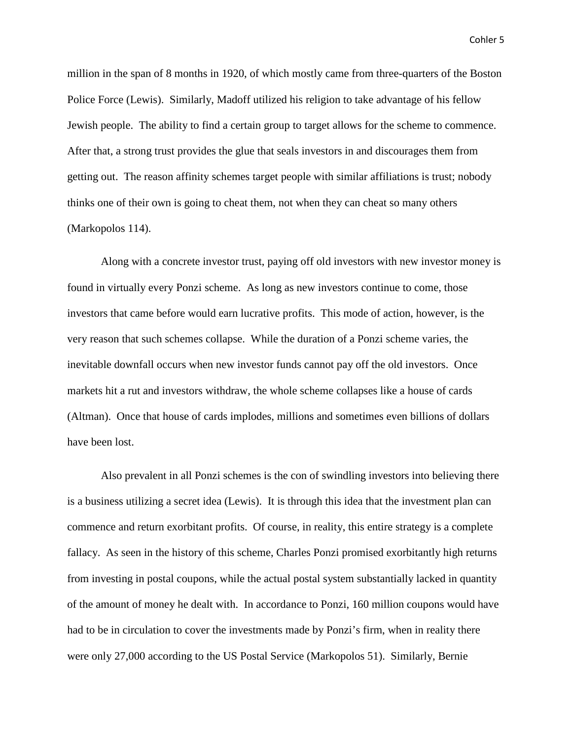million in the span of 8 months in 1920, of which mostly came from three-quarters of the Boston Police Force (Lewis). Similarly, Madoff utilized his religion to take advantage of his fellow Jewish people. The ability to find a certain group to target allows for the scheme to commence. After that, a strong trust provides the glue that seals investors in and discourages them from getting out. The reason affinity schemes target people with similar affiliations is trust; nobody thinks one of their own is going to cheat them, not when they can cheat so many others (Markopolos 114).

Along with a concrete investor trust, paying off old investors with new investor money is found in virtually every Ponzi scheme. As long as new investors continue to come, those investors that came before would earn lucrative profits. This mode of action, however, is the very reason that such schemes collapse. While the duration of a Ponzi scheme varies, the inevitable downfall occurs when new investor funds cannot pay off the old investors. Once markets hit a rut and investors withdraw, the whole scheme collapses like a house of cards (Altman). Once that house of cards implodes, millions and sometimes even billions of dollars have been lost.

Also prevalent in all Ponzi schemes is the con of swindling investors into believing there is a business utilizing a secret idea (Lewis). It is through this idea that the investment plan can commence and return exorbitant profits. Of course, in reality, this entire strategy is a complete fallacy. As seen in the history of this scheme, Charles Ponzi promised exorbitantly high returns from investing in postal coupons, while the actual postal system substantially lacked in quantity of the amount of money he dealt with. In accordance to Ponzi, 160 million coupons would have had to be in circulation to cover the investments made by Ponzi's firm, when in reality there were only 27,000 according to the US Postal Service (Markopolos 51). Similarly, Bernie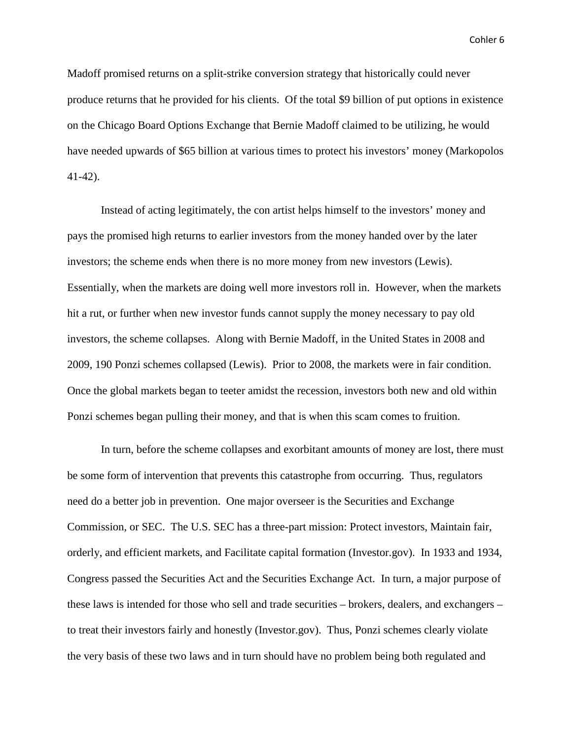Madoff promised returns on a split-strike conversion strategy that historically could never produce returns that he provided for his clients. Of the total \$9 billion of put options in existence on the Chicago Board Options Exchange that Bernie Madoff claimed to be utilizing, he would have needed upwards of \$65 billion at various times to protect his investors' money (Markopolos 41-42).

Instead of acting legitimately, the con artist helps himself to the investors' money and pays the promised high returns to earlier investors from the money handed over by the later investors; the scheme ends when there is no more money from new investors (Lewis). Essentially, when the markets are doing well more investors roll in. However, when the markets hit a rut, or further when new investor funds cannot supply the money necessary to pay old investors, the scheme collapses. Along with Bernie Madoff, in the United States in 2008 and 2009, 190 Ponzi schemes collapsed (Lewis). Prior to 2008, the markets were in fair condition. Once the global markets began to teeter amidst the recession, investors both new and old within Ponzi schemes began pulling their money, and that is when this scam comes to fruition.

In turn, before the scheme collapses and exorbitant amounts of money are lost, there must be some form of intervention that prevents this catastrophe from occurring. Thus, regulators need do a better job in prevention. One major overseer is the Securities and Exchange Commission, or SEC. The U.S. SEC has a three-part mission: Protect investors, Maintain fair, orderly, and efficient markets, and Facilitate capital formation (Investor.gov). In 1933 and 1934, Congress passed the Securities Act and the Securities Exchange Act. In turn, a major purpose of these laws is intended for those who sell and trade securities – brokers, dealers, and exchangers – to treat their investors fairly and honestly (Investor.gov). Thus, Ponzi schemes clearly violate the very basis of these two laws and in turn should have no problem being both regulated and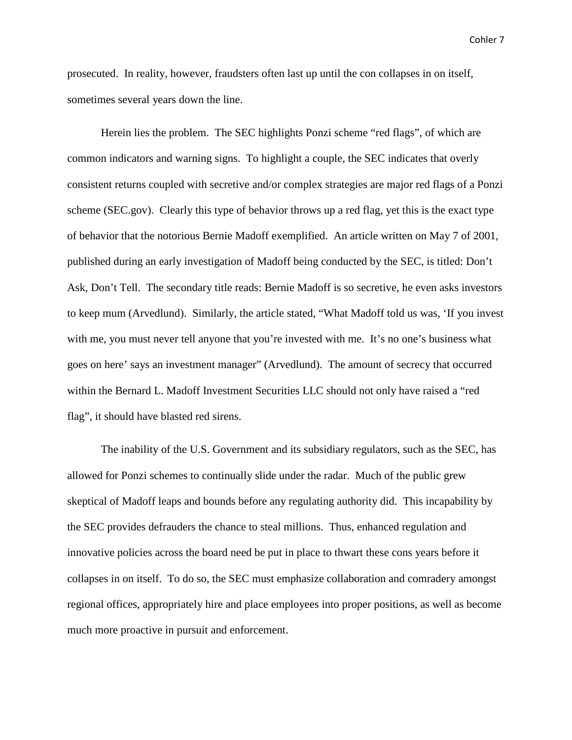prosecuted. In reality, however, fraudsters often last up until the con collapses in on itself, sometimes several years down the line.

Herein lies the problem. The SEC highlights Ponzi scheme "red flags", of which are common indicators and warning signs. To highlight a couple, the SEC indicates that overly consistent returns coupled with secretive and/or complex strategies are major red flags of a Ponzi scheme (SEC.gov). Clearly this type of behavior throws up a red flag, yet this is the exact type of behavior that the notorious Bernie Madoff exemplified. An article written on May 7 of 2001, published during an early investigation of Madoff being conducted by the SEC, is titled: Don't Ask, Don't Tell. The secondary title reads: Bernie Madoff is so secretive, he even asks investors to keep mum (Arvedlund). Similarly, the article stated, "What Madoff told us was, 'If you invest with me, you must never tell anyone that you're invested with me. It's no one's business what goes on here' says an investment manager" (Arvedlund). The amount of secrecy that occurred within the Bernard L. Madoff Investment Securities LLC should not only have raised a "red flag", it should have blasted red sirens.

The inability of the U.S. Government and its subsidiary regulators, such as the SEC, has allowed for Ponzi schemes to continually slide under the radar. Much of the public grew skeptical of Madoff leaps and bounds before any regulating authority did. This incapability by the SEC provides defrauders the chance to steal millions. Thus, enhanced regulation and innovative policies across the board need be put in place to thwart these cons years before it collapses in on itself. To do so, the SEC must emphasize collaboration and comradery amongst regional offices, appropriately hire and place employees into proper positions, as well as become much more proactive in pursuit and enforcement.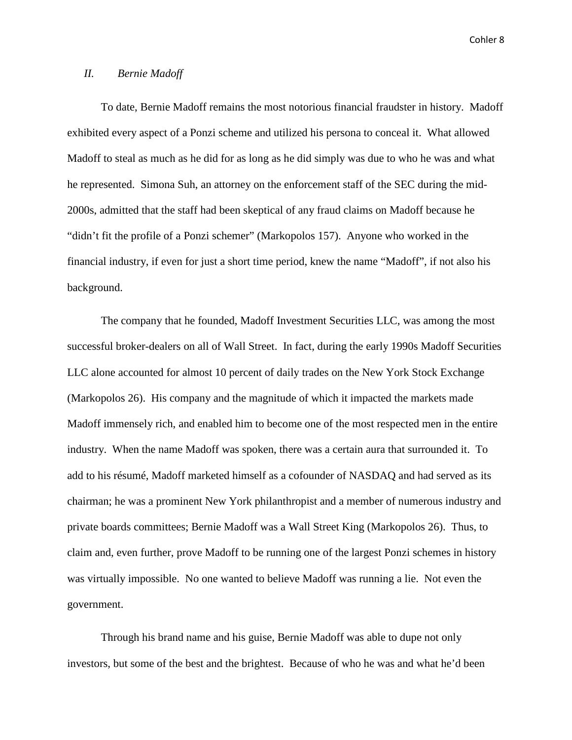#### *II. Bernie Madoff*

To date, Bernie Madoff remains the most notorious financial fraudster in history. Madoff exhibited every aspect of a Ponzi scheme and utilized his persona to conceal it. What allowed Madoff to steal as much as he did for as long as he did simply was due to who he was and what he represented. Simona Suh, an attorney on the enforcement staff of the SEC during the mid-2000s, admitted that the staff had been skeptical of any fraud claims on Madoff because he "didn't fit the profile of a Ponzi schemer" (Markopolos 157). Anyone who worked in the financial industry, if even for just a short time period, knew the name "Madoff", if not also his background.

The company that he founded, Madoff Investment Securities LLC, was among the most successful broker-dealers on all of Wall Street. In fact, during the early 1990s Madoff Securities LLC alone accounted for almost 10 percent of daily trades on the New York Stock Exchange (Markopolos 26). His company and the magnitude of which it impacted the markets made Madoff immensely rich, and enabled him to become one of the most respected men in the entire industry. When the name Madoff was spoken, there was a certain aura that surrounded it. To add to his résumé, Madoff marketed himself as a cofounder of NASDAQ and had served as its chairman; he was a prominent New York philanthropist and a member of numerous industry and private boards committees; Bernie Madoff was a Wall Street King (Markopolos 26). Thus, to claim and, even further, prove Madoff to be running one of the largest Ponzi schemes in history was virtually impossible. No one wanted to believe Madoff was running a lie. Not even the government.

Through his brand name and his guise, Bernie Madoff was able to dupe not only investors, but some of the best and the brightest. Because of who he was and what he'd been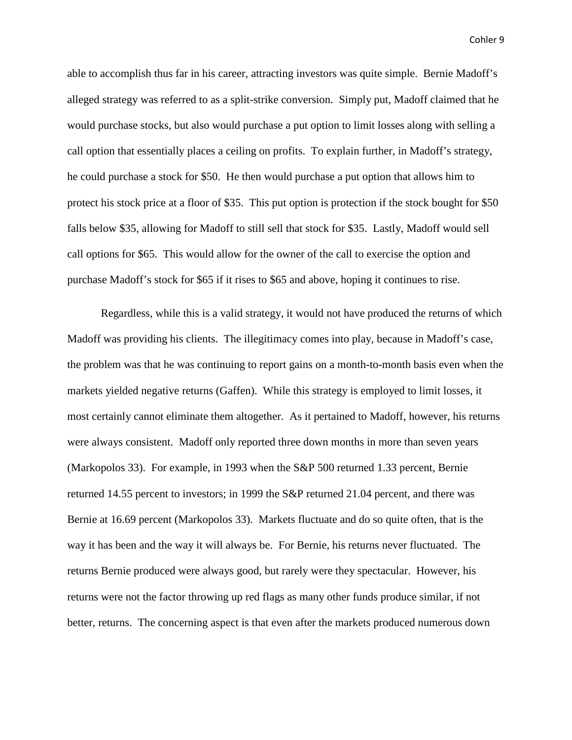able to accomplish thus far in his career, attracting investors was quite simple. Bernie Madoff's alleged strategy was referred to as a split-strike conversion. Simply put, Madoff claimed that he would purchase stocks, but also would purchase a put option to limit losses along with selling a call option that essentially places a ceiling on profits. To explain further, in Madoff's strategy, he could purchase a stock for \$50. He then would purchase a put option that allows him to protect his stock price at a floor of \$35. This put option is protection if the stock bought for \$50 falls below \$35, allowing for Madoff to still sell that stock for \$35. Lastly, Madoff would sell call options for \$65. This would allow for the owner of the call to exercise the option and purchase Madoff's stock for \$65 if it rises to \$65 and above, hoping it continues to rise.

Regardless, while this is a valid strategy, it would not have produced the returns of which Madoff was providing his clients. The illegitimacy comes into play, because in Madoff's case, the problem was that he was continuing to report gains on a month-to-month basis even when the markets yielded negative returns (Gaffen). While this strategy is employed to limit losses, it most certainly cannot eliminate them altogether. As it pertained to Madoff, however, his returns were always consistent. Madoff only reported three down months in more than seven years (Markopolos 33). For example, in 1993 when the S&P 500 returned 1.33 percent, Bernie returned 14.55 percent to investors; in 1999 the S&P returned 21.04 percent, and there was Bernie at 16.69 percent (Markopolos 33). Markets fluctuate and do so quite often, that is the way it has been and the way it will always be. For Bernie, his returns never fluctuated. The returns Bernie produced were always good, but rarely were they spectacular. However, his returns were not the factor throwing up red flags as many other funds produce similar, if not better, returns. The concerning aspect is that even after the markets produced numerous down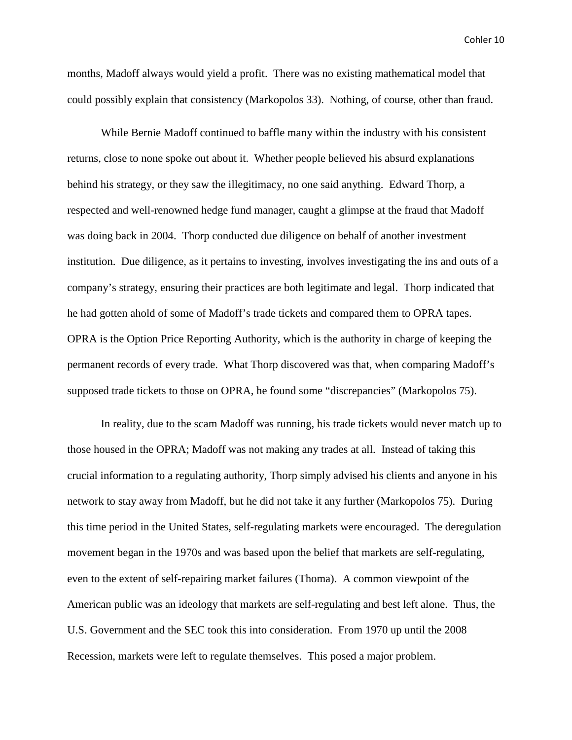months, Madoff always would yield a profit. There was no existing mathematical model that could possibly explain that consistency (Markopolos 33). Nothing, of course, other than fraud.

While Bernie Madoff continued to baffle many within the industry with his consistent returns, close to none spoke out about it. Whether people believed his absurd explanations behind his strategy, or they saw the illegitimacy, no one said anything. Edward Thorp, a respected and well-renowned hedge fund manager, caught a glimpse at the fraud that Madoff was doing back in 2004. Thorp conducted due diligence on behalf of another investment institution. Due diligence, as it pertains to investing, involves investigating the ins and outs of a company's strategy, ensuring their practices are both legitimate and legal. Thorp indicated that he had gotten ahold of some of Madoff's trade tickets and compared them to OPRA tapes. OPRA is the Option Price Reporting Authority, which is the authority in charge of keeping the permanent records of every trade. What Thorp discovered was that, when comparing Madoff's supposed trade tickets to those on OPRA, he found some "discrepancies" (Markopolos 75).

In reality, due to the scam Madoff was running, his trade tickets would never match up to those housed in the OPRA; Madoff was not making any trades at all. Instead of taking this crucial information to a regulating authority, Thorp simply advised his clients and anyone in his network to stay away from Madoff, but he did not take it any further (Markopolos 75). During this time period in the United States, self-regulating markets were encouraged. The deregulation movement began in the 1970s and was based upon the belief that markets are self-regulating, even to the extent of self-repairing market failures (Thoma). A common viewpoint of the American public was an ideology that markets are self-regulating and best left alone. Thus, the U.S. Government and the SEC took this into consideration. From 1970 up until the 2008 Recession, markets were left to regulate themselves. This posed a major problem.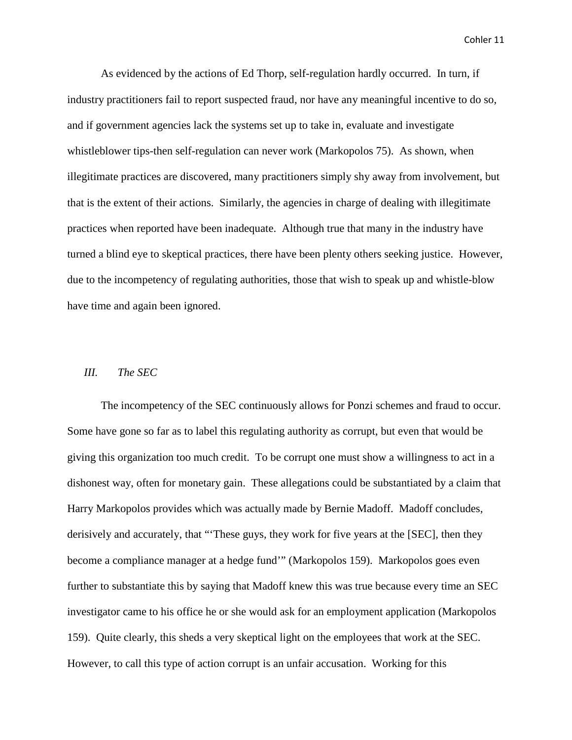As evidenced by the actions of Ed Thorp, self-regulation hardly occurred. In turn, if industry practitioners fail to report suspected fraud, nor have any meaningful incentive to do so, and if government agencies lack the systems set up to take in, evaluate and investigate whistleblower tips-then self-regulation can never work (Markopolos 75). As shown, when illegitimate practices are discovered, many practitioners simply shy away from involvement, but that is the extent of their actions. Similarly, the agencies in charge of dealing with illegitimate practices when reported have been inadequate. Although true that many in the industry have turned a blind eye to skeptical practices, there have been plenty others seeking justice. However, due to the incompetency of regulating authorities, those that wish to speak up and whistle-blow have time and again been ignored.

#### *III. The SEC*

The incompetency of the SEC continuously allows for Ponzi schemes and fraud to occur. Some have gone so far as to label this regulating authority as corrupt, but even that would be giving this organization too much credit. To be corrupt one must show a willingness to act in a dishonest way, often for monetary gain. These allegations could be substantiated by a claim that Harry Markopolos provides which was actually made by Bernie Madoff. Madoff concludes, derisively and accurately, that "These guys, they work for five years at the [SEC], then they become a compliance manager at a hedge fund'" (Markopolos 159). Markopolos goes even further to substantiate this by saying that Madoff knew this was true because every time an SEC investigator came to his office he or she would ask for an employment application (Markopolos 159). Quite clearly, this sheds a very skeptical light on the employees that work at the SEC. However, to call this type of action corrupt is an unfair accusation. Working for this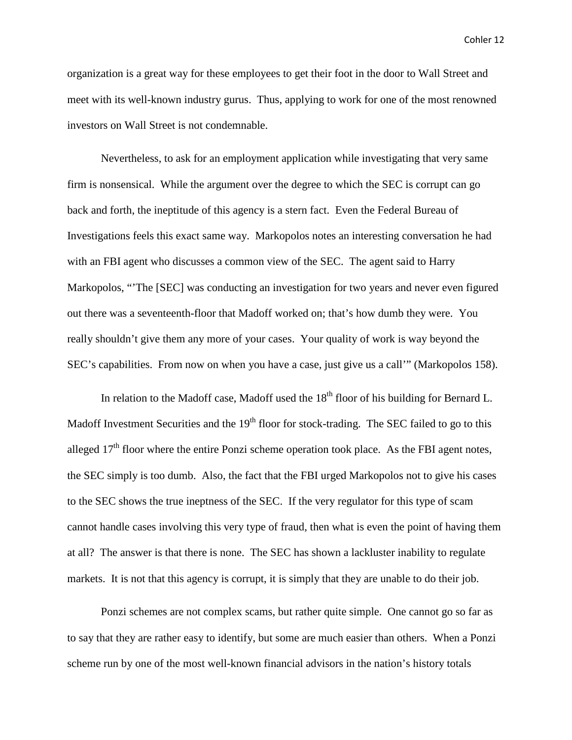organization is a great way for these employees to get their foot in the door to Wall Street and meet with its well-known industry gurus. Thus, applying to work for one of the most renowned investors on Wall Street is not condemnable.

Nevertheless, to ask for an employment application while investigating that very same firm is nonsensical. While the argument over the degree to which the SEC is corrupt can go back and forth, the ineptitude of this agency is a stern fact. Even the Federal Bureau of Investigations feels this exact same way. Markopolos notes an interesting conversation he had with an FBI agent who discusses a common view of the SEC. The agent said to Harry Markopolos, "'The [SEC] was conducting an investigation for two years and never even figured out there was a seventeenth-floor that Madoff worked on; that's how dumb they were. You really shouldn't give them any more of your cases. Your quality of work is way beyond the SEC's capabilities. From now on when you have a case, just give us a call'" (Markopolos 158).

In relation to the Madoff case, Madoff used the  $18<sup>th</sup>$  floor of his building for Bernard L. Madoff Investment Securities and the  $19<sup>th</sup>$  floor for stock-trading. The SEC failed to go to this alleged  $17<sup>th</sup>$  floor where the entire Ponzi scheme operation took place. As the FBI agent notes, the SEC simply is too dumb. Also, the fact that the FBI urged Markopolos not to give his cases to the SEC shows the true ineptness of the SEC. If the very regulator for this type of scam cannot handle cases involving this very type of fraud, then what is even the point of having them at all? The answer is that there is none. The SEC has shown a lackluster inability to regulate markets. It is not that this agency is corrupt, it is simply that they are unable to do their job.

Ponzi schemes are not complex scams, but rather quite simple. One cannot go so far as to say that they are rather easy to identify, but some are much easier than others. When a Ponzi scheme run by one of the most well-known financial advisors in the nation's history totals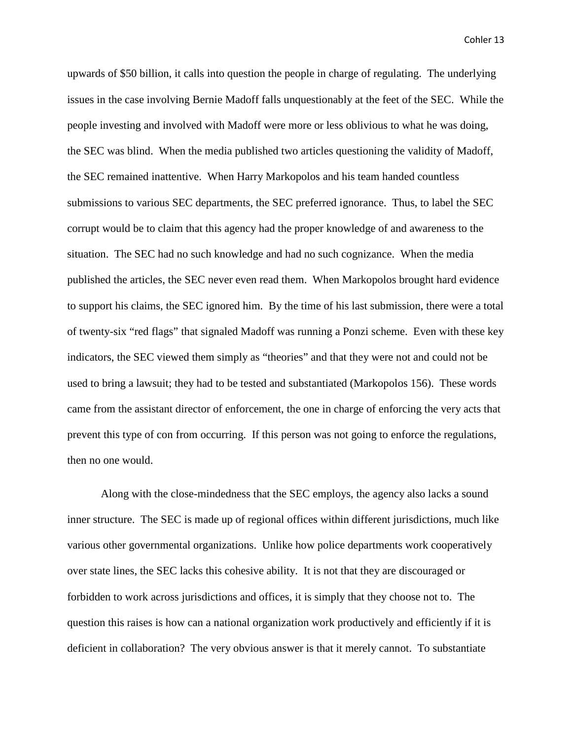upwards of \$50 billion, it calls into question the people in charge of regulating. The underlying issues in the case involving Bernie Madoff falls unquestionably at the feet of the SEC. While the people investing and involved with Madoff were more or less oblivious to what he was doing, the SEC was blind. When the media published two articles questioning the validity of Madoff, the SEC remained inattentive. When Harry Markopolos and his team handed countless submissions to various SEC departments, the SEC preferred ignorance. Thus, to label the SEC corrupt would be to claim that this agency had the proper knowledge of and awareness to the situation. The SEC had no such knowledge and had no such cognizance. When the media published the articles, the SEC never even read them. When Markopolos brought hard evidence to support his claims, the SEC ignored him. By the time of his last submission, there were a total of twenty-six "red flags" that signaled Madoff was running a Ponzi scheme. Even with these key indicators, the SEC viewed them simply as "theories" and that they were not and could not be used to bring a lawsuit; they had to be tested and substantiated (Markopolos 156). These words came from the assistant director of enforcement, the one in charge of enforcing the very acts that prevent this type of con from occurring. If this person was not going to enforce the regulations, then no one would.

Along with the close-mindedness that the SEC employs, the agency also lacks a sound inner structure. The SEC is made up of regional offices within different jurisdictions, much like various other governmental organizations. Unlike how police departments work cooperatively over state lines, the SEC lacks this cohesive ability. It is not that they are discouraged or forbidden to work across jurisdictions and offices, it is simply that they choose not to. The question this raises is how can a national organization work productively and efficiently if it is deficient in collaboration? The very obvious answer is that it merely cannot. To substantiate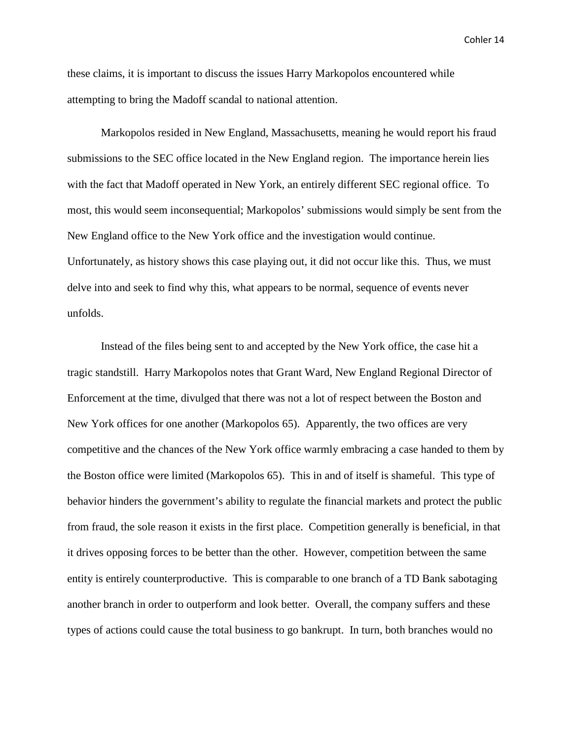these claims, it is important to discuss the issues Harry Markopolos encountered while attempting to bring the Madoff scandal to national attention.

Markopolos resided in New England, Massachusetts, meaning he would report his fraud submissions to the SEC office located in the New England region. The importance herein lies with the fact that Madoff operated in New York, an entirely different SEC regional office. To most, this would seem inconsequential; Markopolos' submissions would simply be sent from the New England office to the New York office and the investigation would continue. Unfortunately, as history shows this case playing out, it did not occur like this. Thus, we must delve into and seek to find why this, what appears to be normal, sequence of events never unfolds.

Instead of the files being sent to and accepted by the New York office, the case hit a tragic standstill. Harry Markopolos notes that Grant Ward, New England Regional Director of Enforcement at the time, divulged that there was not a lot of respect between the Boston and New York offices for one another (Markopolos 65). Apparently, the two offices are very competitive and the chances of the New York office warmly embracing a case handed to them by the Boston office were limited (Markopolos 65). This in and of itself is shameful. This type of behavior hinders the government's ability to regulate the financial markets and protect the public from fraud, the sole reason it exists in the first place. Competition generally is beneficial, in that it drives opposing forces to be better than the other. However, competition between the same entity is entirely counterproductive. This is comparable to one branch of a TD Bank sabotaging another branch in order to outperform and look better. Overall, the company suffers and these types of actions could cause the total business to go bankrupt. In turn, both branches would no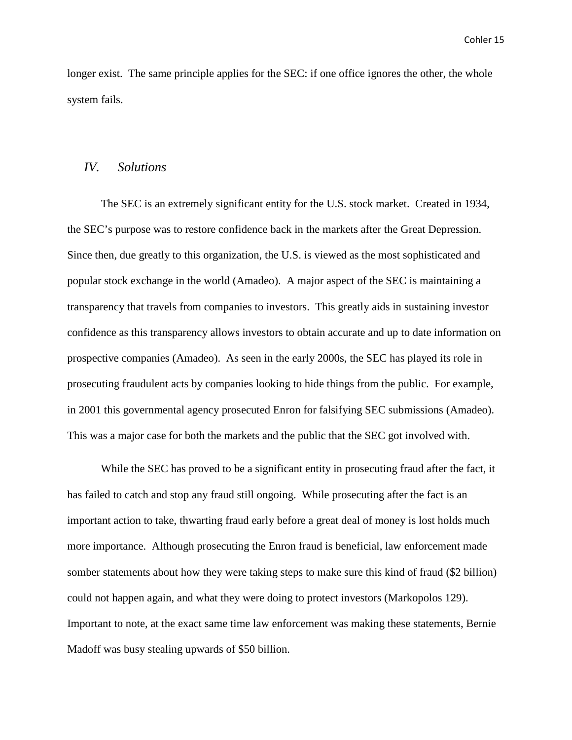longer exist. The same principle applies for the SEC: if one office ignores the other, the whole system fails.

#### *IV. Solutions*

The SEC is an extremely significant entity for the U.S. stock market. Created in 1934, the SEC's purpose was to restore confidence back in the markets after the Great Depression. Since then, due greatly to this organization, the U.S. is viewed as the most sophisticated and popular stock exchange in the world (Amadeo). A major aspect of the SEC is maintaining a transparency that travels from companies to investors. This greatly aids in sustaining investor confidence as this transparency allows investors to obtain accurate and up to date information on prospective companies (Amadeo). As seen in the early 2000s, the SEC has played its role in prosecuting fraudulent acts by companies looking to hide things from the public. For example, in 2001 this governmental agency prosecuted Enron for falsifying SEC submissions (Amadeo). This was a major case for both the markets and the public that the SEC got involved with.

While the SEC has proved to be a significant entity in prosecuting fraud after the fact, it has failed to catch and stop any fraud still ongoing. While prosecuting after the fact is an important action to take, thwarting fraud early before a great deal of money is lost holds much more importance. Although prosecuting the Enron fraud is beneficial, law enforcement made somber statements about how they were taking steps to make sure this kind of fraud (\$2 billion) could not happen again, and what they were doing to protect investors (Markopolos 129). Important to note, at the exact same time law enforcement was making these statements, Bernie Madoff was busy stealing upwards of \$50 billion.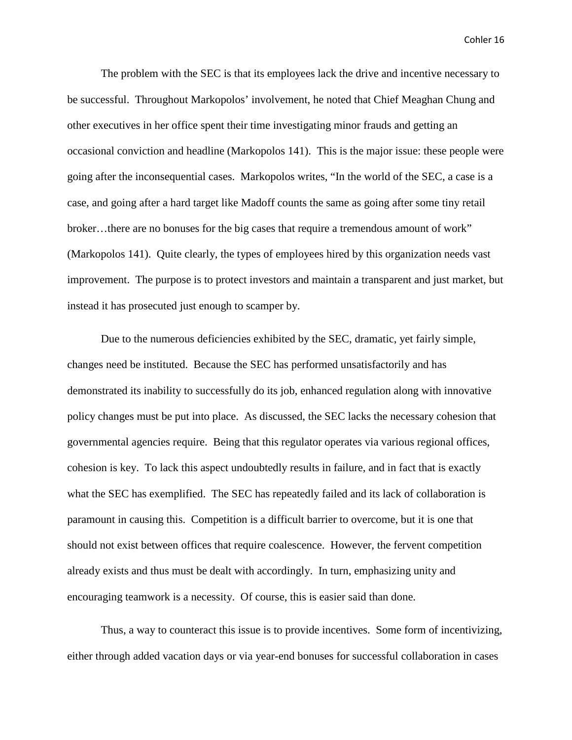The problem with the SEC is that its employees lack the drive and incentive necessary to be successful. Throughout Markopolos' involvement, he noted that Chief Meaghan Chung and other executives in her office spent their time investigating minor frauds and getting an occasional conviction and headline (Markopolos 141). This is the major issue: these people were going after the inconsequential cases. Markopolos writes, "In the world of the SEC, a case is a case, and going after a hard target like Madoff counts the same as going after some tiny retail broker…there are no bonuses for the big cases that require a tremendous amount of work" (Markopolos 141). Quite clearly, the types of employees hired by this organization needs vast improvement. The purpose is to protect investors and maintain a transparent and just market, but instead it has prosecuted just enough to scamper by.

Due to the numerous deficiencies exhibited by the SEC, dramatic, yet fairly simple, changes need be instituted. Because the SEC has performed unsatisfactorily and has demonstrated its inability to successfully do its job, enhanced regulation along with innovative policy changes must be put into place. As discussed, the SEC lacks the necessary cohesion that governmental agencies require. Being that this regulator operates via various regional offices, cohesion is key. To lack this aspect undoubtedly results in failure, and in fact that is exactly what the SEC has exemplified. The SEC has repeatedly failed and its lack of collaboration is paramount in causing this. Competition is a difficult barrier to overcome, but it is one that should not exist between offices that require coalescence. However, the fervent competition already exists and thus must be dealt with accordingly. In turn, emphasizing unity and encouraging teamwork is a necessity. Of course, this is easier said than done.

Thus, a way to counteract this issue is to provide incentives. Some form of incentivizing, either through added vacation days or via year-end bonuses for successful collaboration in cases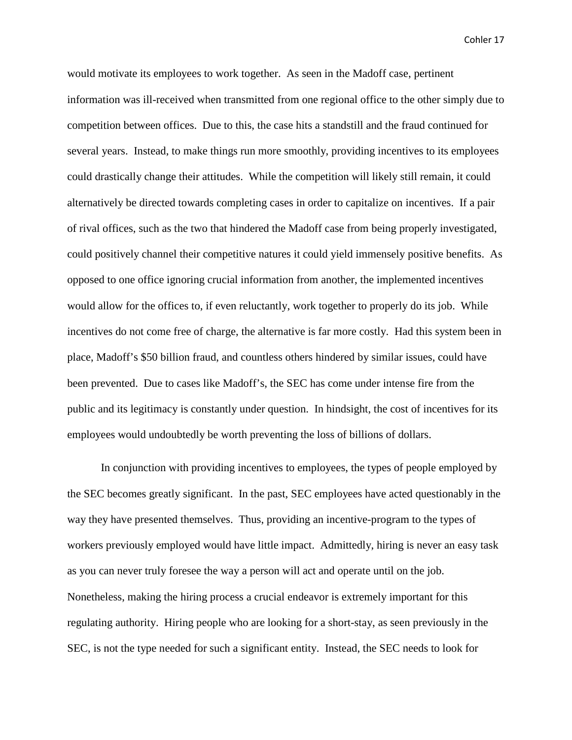would motivate its employees to work together. As seen in the Madoff case, pertinent information was ill-received when transmitted from one regional office to the other simply due to competition between offices. Due to this, the case hits a standstill and the fraud continued for several years. Instead, to make things run more smoothly, providing incentives to its employees could drastically change their attitudes. While the competition will likely still remain, it could alternatively be directed towards completing cases in order to capitalize on incentives. If a pair of rival offices, such as the two that hindered the Madoff case from being properly investigated, could positively channel their competitive natures it could yield immensely positive benefits. As opposed to one office ignoring crucial information from another, the implemented incentives would allow for the offices to, if even reluctantly, work together to properly do its job. While incentives do not come free of charge, the alternative is far more costly. Had this system been in place, Madoff's \$50 billion fraud, and countless others hindered by similar issues, could have been prevented. Due to cases like Madoff's, the SEC has come under intense fire from the public and its legitimacy is constantly under question. In hindsight, the cost of incentives for its employees would undoubtedly be worth preventing the loss of billions of dollars.

In conjunction with providing incentives to employees, the types of people employed by the SEC becomes greatly significant. In the past, SEC employees have acted questionably in the way they have presented themselves. Thus, providing an incentive-program to the types of workers previously employed would have little impact. Admittedly, hiring is never an easy task as you can never truly foresee the way a person will act and operate until on the job. Nonetheless, making the hiring process a crucial endeavor is extremely important for this regulating authority. Hiring people who are looking for a short-stay, as seen previously in the SEC, is not the type needed for such a significant entity. Instead, the SEC needs to look for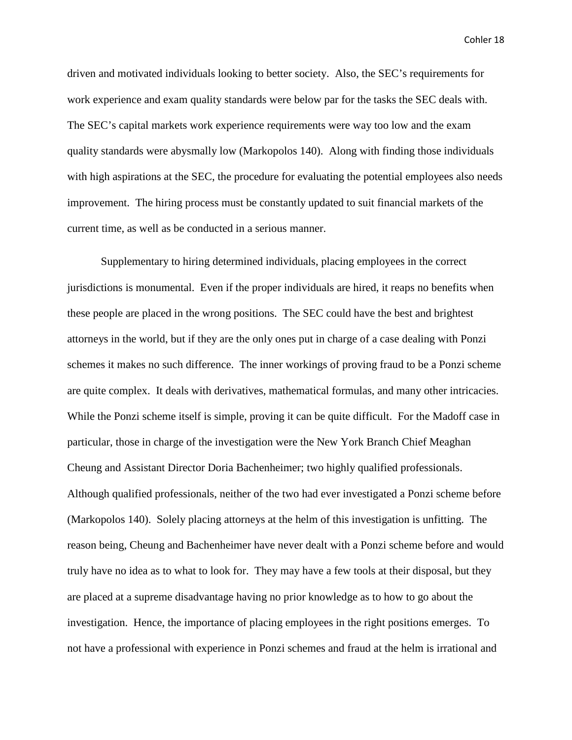driven and motivated individuals looking to better society. Also, the SEC's requirements for work experience and exam quality standards were below par for the tasks the SEC deals with. The SEC's capital markets work experience requirements were way too low and the exam quality standards were abysmally low (Markopolos 140). Along with finding those individuals with high aspirations at the SEC, the procedure for evaluating the potential employees also needs improvement. The hiring process must be constantly updated to suit financial markets of the current time, as well as be conducted in a serious manner.

Supplementary to hiring determined individuals, placing employees in the correct jurisdictions is monumental. Even if the proper individuals are hired, it reaps no benefits when these people are placed in the wrong positions. The SEC could have the best and brightest attorneys in the world, but if they are the only ones put in charge of a case dealing with Ponzi schemes it makes no such difference. The inner workings of proving fraud to be a Ponzi scheme are quite complex. It deals with derivatives, mathematical formulas, and many other intricacies. While the Ponzi scheme itself is simple, proving it can be quite difficult. For the Madoff case in particular, those in charge of the investigation were the New York Branch Chief Meaghan Cheung and Assistant Director Doria Bachenheimer; two highly qualified professionals. Although qualified professionals, neither of the two had ever investigated a Ponzi scheme before (Markopolos 140). Solely placing attorneys at the helm of this investigation is unfitting. The reason being, Cheung and Bachenheimer have never dealt with a Ponzi scheme before and would truly have no idea as to what to look for. They may have a few tools at their disposal, but they are placed at a supreme disadvantage having no prior knowledge as to how to go about the investigation. Hence, the importance of placing employees in the right positions emerges. To not have a professional with experience in Ponzi schemes and fraud at the helm is irrational and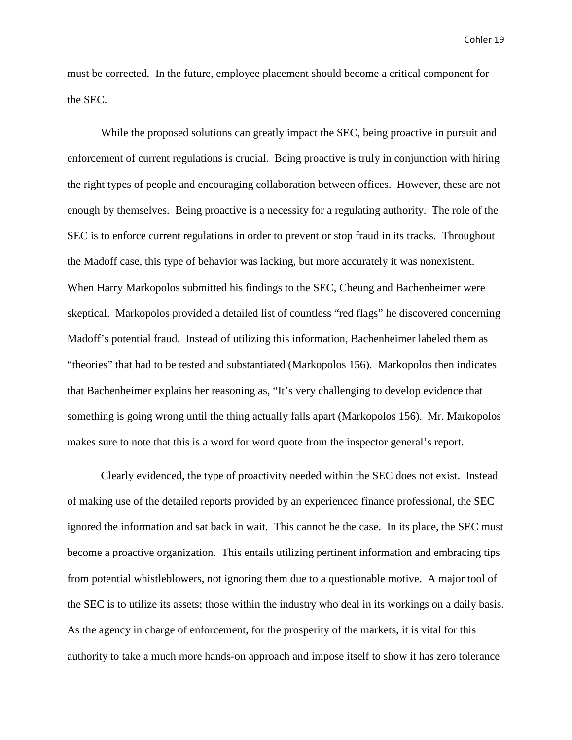must be corrected. In the future, employee placement should become a critical component for the SEC.

While the proposed solutions can greatly impact the SEC, being proactive in pursuit and enforcement of current regulations is crucial. Being proactive is truly in conjunction with hiring the right types of people and encouraging collaboration between offices. However, these are not enough by themselves. Being proactive is a necessity for a regulating authority. The role of the SEC is to enforce current regulations in order to prevent or stop fraud in its tracks. Throughout the Madoff case, this type of behavior was lacking, but more accurately it was nonexistent. When Harry Markopolos submitted his findings to the SEC, Cheung and Bachenheimer were skeptical. Markopolos provided a detailed list of countless "red flags" he discovered concerning Madoff's potential fraud. Instead of utilizing this information, Bachenheimer labeled them as "theories" that had to be tested and substantiated (Markopolos 156). Markopolos then indicates that Bachenheimer explains her reasoning as, "It's very challenging to develop evidence that something is going wrong until the thing actually falls apart (Markopolos 156). Mr. Markopolos makes sure to note that this is a word for word quote from the inspector general's report.

Clearly evidenced, the type of proactivity needed within the SEC does not exist. Instead of making use of the detailed reports provided by an experienced finance professional, the SEC ignored the information and sat back in wait. This cannot be the case. In its place, the SEC must become a proactive organization. This entails utilizing pertinent information and embracing tips from potential whistleblowers, not ignoring them due to a questionable motive. A major tool of the SEC is to utilize its assets; those within the industry who deal in its workings on a daily basis. As the agency in charge of enforcement, for the prosperity of the markets, it is vital for this authority to take a much more hands-on approach and impose itself to show it has zero tolerance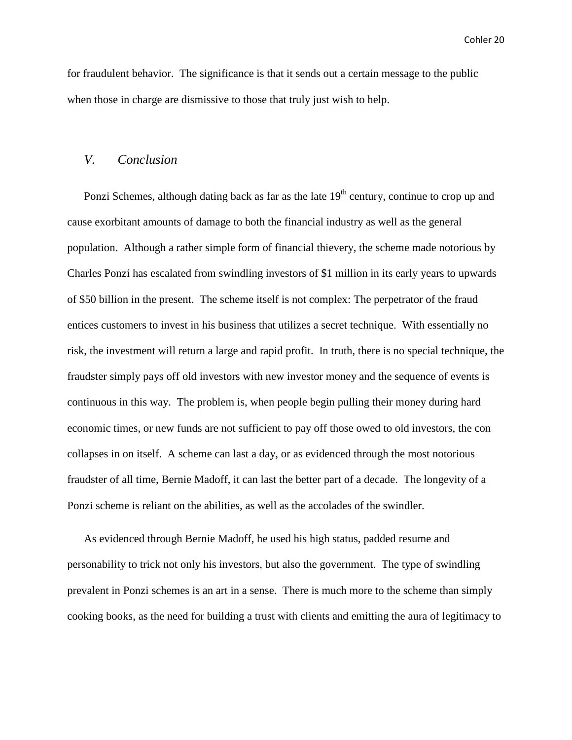for fraudulent behavior. The significance is that it sends out a certain message to the public when those in charge are dismissive to those that truly just wish to help.

#### *V. Conclusion*

Ponzi Schemes, although dating back as far as the late  $19<sup>th</sup>$  century, continue to crop up and cause exorbitant amounts of damage to both the financial industry as well as the general population. Although a rather simple form of financial thievery, the scheme made notorious by Charles Ponzi has escalated from swindling investors of \$1 million in its early years to upwards of \$50 billion in the present. The scheme itself is not complex: The perpetrator of the fraud entices customers to invest in his business that utilizes a secret technique. With essentially no risk, the investment will return a large and rapid profit. In truth, there is no special technique, the fraudster simply pays off old investors with new investor money and the sequence of events is continuous in this way. The problem is, when people begin pulling their money during hard economic times, or new funds are not sufficient to pay off those owed to old investors, the con collapses in on itself. A scheme can last a day, or as evidenced through the most notorious fraudster of all time, Bernie Madoff, it can last the better part of a decade. The longevity of a Ponzi scheme is reliant on the abilities, as well as the accolades of the swindler.

As evidenced through Bernie Madoff, he used his high status, padded resume and personability to trick not only his investors, but also the government. The type of swindling prevalent in Ponzi schemes is an art in a sense. There is much more to the scheme than simply cooking books, as the need for building a trust with clients and emitting the aura of legitimacy to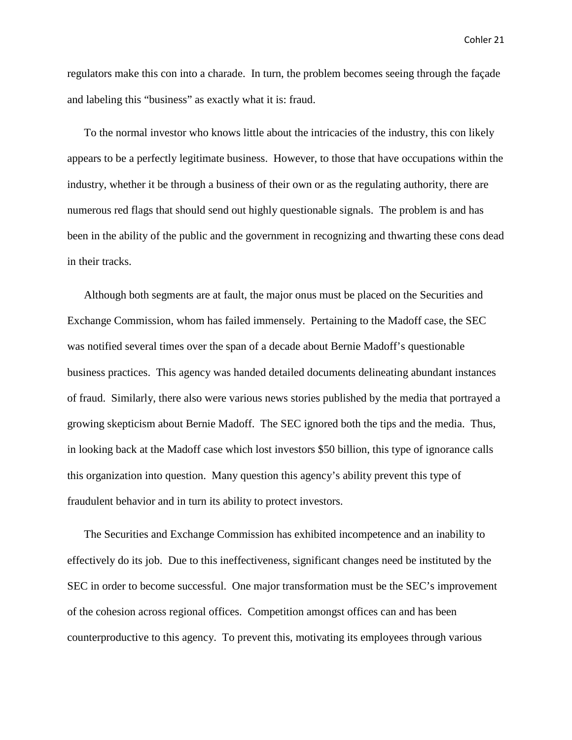regulators make this con into a charade. In turn, the problem becomes seeing through the façade and labeling this "business" as exactly what it is: fraud.

To the normal investor who knows little about the intricacies of the industry, this con likely appears to be a perfectly legitimate business. However, to those that have occupations within the industry, whether it be through a business of their own or as the regulating authority, there are numerous red flags that should send out highly questionable signals. The problem is and has been in the ability of the public and the government in recognizing and thwarting these cons dead in their tracks.

Although both segments are at fault, the major onus must be placed on the Securities and Exchange Commission, whom has failed immensely. Pertaining to the Madoff case, the SEC was notified several times over the span of a decade about Bernie Madoff's questionable business practices. This agency was handed detailed documents delineating abundant instances of fraud. Similarly, there also were various news stories published by the media that portrayed a growing skepticism about Bernie Madoff. The SEC ignored both the tips and the media. Thus, in looking back at the Madoff case which lost investors \$50 billion, this type of ignorance calls this organization into question. Many question this agency's ability prevent this type of fraudulent behavior and in turn its ability to protect investors.

The Securities and Exchange Commission has exhibited incompetence and an inability to effectively do its job. Due to this ineffectiveness, significant changes need be instituted by the SEC in order to become successful. One major transformation must be the SEC's improvement of the cohesion across regional offices. Competition amongst offices can and has been counterproductive to this agency. To prevent this, motivating its employees through various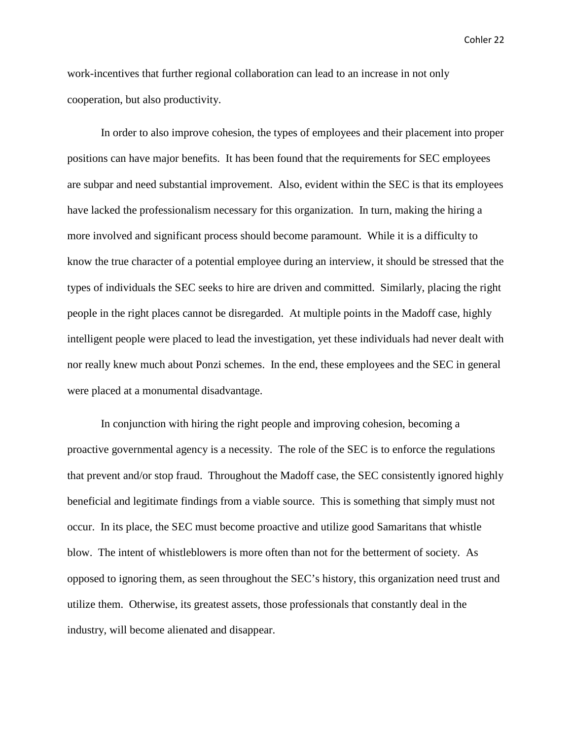work-incentives that further regional collaboration can lead to an increase in not only cooperation, but also productivity.

In order to also improve cohesion, the types of employees and their placement into proper positions can have major benefits. It has been found that the requirements for SEC employees are subpar and need substantial improvement. Also, evident within the SEC is that its employees have lacked the professionalism necessary for this organization. In turn, making the hiring a more involved and significant process should become paramount. While it is a difficulty to know the true character of a potential employee during an interview, it should be stressed that the types of individuals the SEC seeks to hire are driven and committed. Similarly, placing the right people in the right places cannot be disregarded. At multiple points in the Madoff case, highly intelligent people were placed to lead the investigation, yet these individuals had never dealt with nor really knew much about Ponzi schemes. In the end, these employees and the SEC in general were placed at a monumental disadvantage.

In conjunction with hiring the right people and improving cohesion, becoming a proactive governmental agency is a necessity. The role of the SEC is to enforce the regulations that prevent and/or stop fraud. Throughout the Madoff case, the SEC consistently ignored highly beneficial and legitimate findings from a viable source. This is something that simply must not occur. In its place, the SEC must become proactive and utilize good Samaritans that whistle blow. The intent of whistleblowers is more often than not for the betterment of society. As opposed to ignoring them, as seen throughout the SEC's history, this organization need trust and utilize them. Otherwise, its greatest assets, those professionals that constantly deal in the industry, will become alienated and disappear.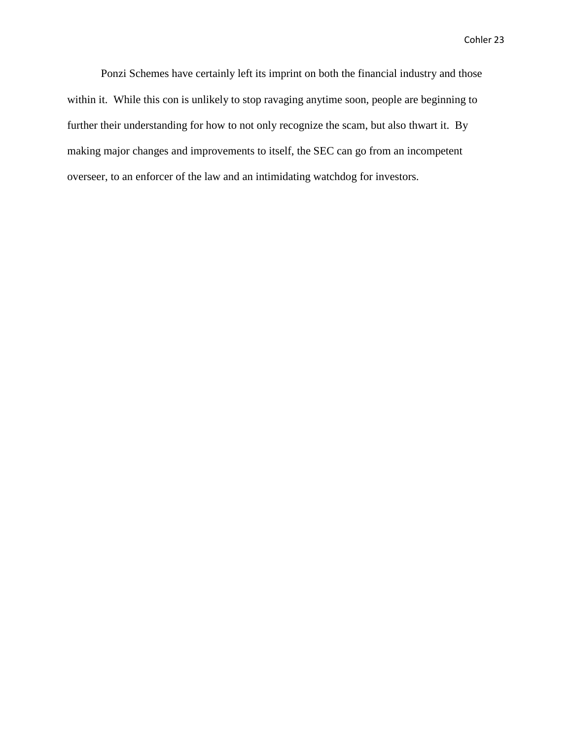Ponzi Schemes have certainly left its imprint on both the financial industry and those within it. While this con is unlikely to stop ravaging anytime soon, people are beginning to further their understanding for how to not only recognize the scam, but also thwart it. By making major changes and improvements to itself, the SEC can go from an incompetent overseer, to an enforcer of the law and an intimidating watchdog for investors.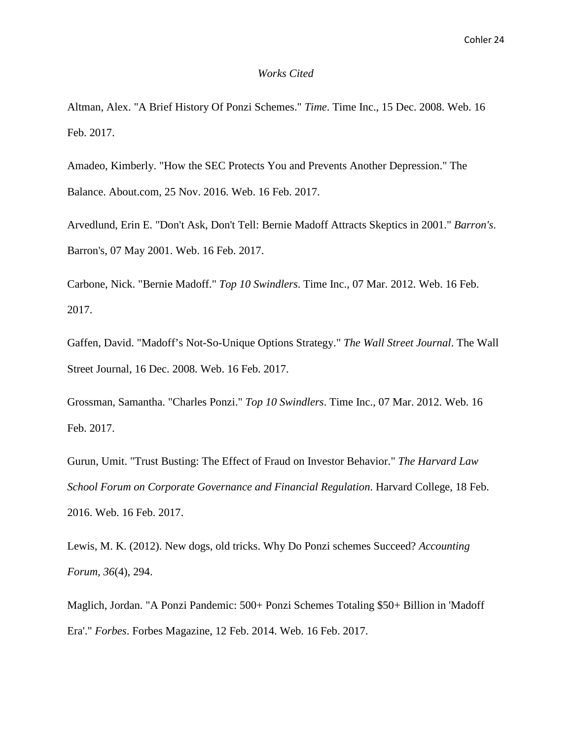#### *Works Cited*

Altman, Alex. "A Brief History Of Ponzi Schemes." *Time*. Time Inc., 15 Dec. 2008. Web. 16 Feb. 2017.

Amadeo, Kimberly. "How the SEC Protects You and Prevents Another Depression." The Balance. About.com, 25 Nov. 2016. Web. 16 Feb. 2017.

Arvedlund, Erin E. "Don't Ask, Don't Tell: Bernie Madoff Attracts Skeptics in 2001." *Barron's*. Barron's, 07 May 2001. Web. 16 Feb. 2017.

Carbone, Nick. "Bernie Madoff." *Top 10 Swindlers*. Time Inc., 07 Mar. 2012. Web. 16 Feb. 2017.

Gaffen, David. "Madoff's Not-So-Unique Options Strategy." *The Wall Street Journal*. The Wall Street Journal, 16 Dec. 2008. Web. 16 Feb. 2017.

Grossman, Samantha. "Charles Ponzi." *Top 10 Swindlers*. Time Inc., 07 Mar. 2012. Web. 16 Feb. 2017.

Gurun, Umit. "Trust Busting: The Effect of Fraud on Investor Behavior." *The Harvard Law School Forum on Corporate Governance and Financial Regulation*. Harvard College, 18 Feb. 2016. Web. 16 Feb. 2017.

Lewis, M. K. (2012). New dogs, old tricks. Why Do Ponzi schemes Succeed? *Accounting Forum, 36*(4), 294.

Maglich, Jordan. "A Ponzi Pandemic: 500+ Ponzi Schemes Totaling \$50+ Billion in 'Madoff Era'." *Forbes*. Forbes Magazine, 12 Feb. 2014. Web. 16 Feb. 2017.